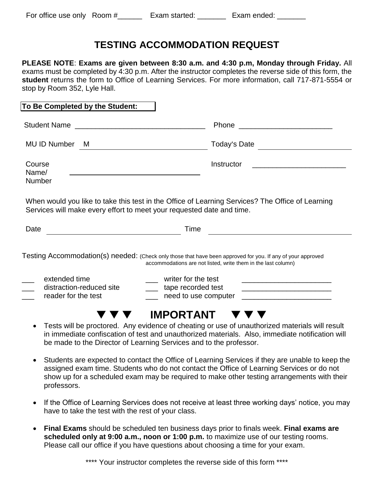## **TESTING ACCOMMODATION REQUEST**

**PLEASE NOTE**: **Exams are given between 8:30 a.m. and 4:30 p.m, Monday through Friday.** All exams must be completed by 4:30 p.m. After the instructor completes the reverse side of this form, the **student** returns the form to Office of Learning Services. For more information, call 717-871-5554 or stop by Room 352, Lyle Hall.

|                                 |                          | Phone                                                                                                                                                                        |
|---------------------------------|--------------------------|------------------------------------------------------------------------------------------------------------------------------------------------------------------------------|
| MU ID Number                    | - M                      | <u> 1989 - Johann Harry Barn, mars an t-Amerikaansk kommunister (</u>                                                                                                        |
| Course<br>Name/                 |                          | Instructor                                                                                                                                                                   |
|                                 |                          |                                                                                                                                                                              |
|                                 |                          | When would you like to take this test in the Office of Learning Services? The Office of Learning<br>Services will make every effort to meet your requested date and time.    |
|                                 |                          | Time                                                                                                                                                                         |
|                                 |                          | Testing Accommodation(s) needed: (Check only those that have been approved for you. If any of your approved<br>accommodations are not listed, write them in the last column) |
| Number<br>Date<br>extended time | distraction-reduced site | writer for the test<br><u> 1990 - Johann John Stone, mars eta bat eta bat eta bat eta bat eta bat eta bat eta bat eta bat eta bat eta b</u><br>tape recorded test            |

- in immediate confiscation of test and unauthorized materials. Also, immediate notification will be made to the Director of Learning Services and to the professor.
- Students are expected to contact the Office of Learning Services if they are unable to keep the assigned exam time. Students who do not contact the Office of Learning Services or do not show up for a scheduled exam may be required to make other testing arrangements with their professors.
- If the Office of Learning Services does not receive at least three working days' notice, you may have to take the test with the rest of your class.
- **Final Exams** should be scheduled ten business days prior to finals week. **Final exams are scheduled only at 9:00 a.m., noon or 1:00 p.m.** to maximize use of our testing rooms. Please call our office if you have questions about choosing a time for your exam.

\*\*\*\* Your instructor completes the reverse side of this form \*\*\*\*